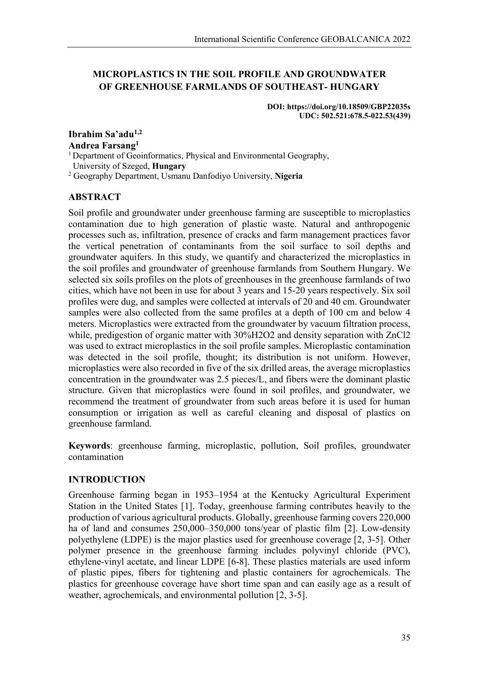# **MICROPLASTICS IN THE SOIL PROFILE AND GROUNDWATER OF GREENHOUSE FARMLANDS OF SOUTHEAST- HUNGARY**

**DOI: https://doi.org/10.18509/GBP22035s UDC: 502.521:678.5-022.53(439)**

**Ibrahim Sa'adu1,2 Andrea Farsang1** <sup>1</sup> Department of Geoinformatics, Physical and Environmental Geography,

University of Szeged, **Hungary**

<sup>2</sup> Geography Department, Usmanu Danfodiyo University, **Nigeria**

## **ABSTRACT**

Soil profile and groundwater under greenhouse farming are susceptible to microplastics contamination due to high generation of plastic waste. Natural and anthropogenic processes such as, infiltration, presence of cracks and farm management practices favor the vertical penetration of contaminants from the soil surface to soil depths and groundwater aquifers. In this study, we quantify and characterized the microplastics in the soil profiles and groundwater of greenhouse farmlands from Southern Hungary. We selected six soils profiles on the plots of greenhouses in the greenhouse farmlands of two cities, which have not been in use for about 3 years and 15-20 years respectively. Six soil profiles were dug, and samples were collected at intervals of 20 and 40 cm. Groundwater samples were also collected from the same profiles at a depth of 100 cm and below 4 meters. Microplastics were extracted from the groundwater by vacuum filtration process, while, predigestion of organic matter with 30%H2O2 and density separation with ZnCl2 was used to extract microplastics in the soil profile samples. Microplastic contamination was detected in the soil profile, thought; its distribution is not uniform. However, microplastics were also recorded in five of the six drilled areas, the average microplastics concentration in the groundwater was 2.5 pieces/L, and fibers were the dominant plastic structure. Given that microplastics were found in soil profiles, and groundwater, we recommend the treatment of groundwater from such areas before it is used for human consumption or irrigation as well as careful cleaning and disposal of plastics on greenhouse farmland.

**Keywords**: greenhouse farming, microplastic, pollution, Soil profiles, groundwater contamination

## **INTRODUCTION**

Greenhouse farming began in 1953–1954 at the Kentucky Agricultural Experiment Station in the United States [1]. Today, greenhouse farming contributes heavily to the production of various agricultural products. Globally, greenhouse farming covers 220,000 ha of land and consumes 250,000–350,000 tons/year of plastic film [2]. Low-density polyethylene (LDPE) is the major plastics used for greenhouse coverage [2, 3-5]. Other polymer presence in the greenhouse farming includes polyvinyl chloride (PVC), ethylene-vinyl acetate, and linear LDPE [6-8]. These plastics materials are used inform of plastic pipes, fibers for tightening and plastic containers for agrochemicals. The plastics for greenhouse coverage have short time span and can easily age as a result of weather, agrochemicals, and environmental pollution [2, 3-5].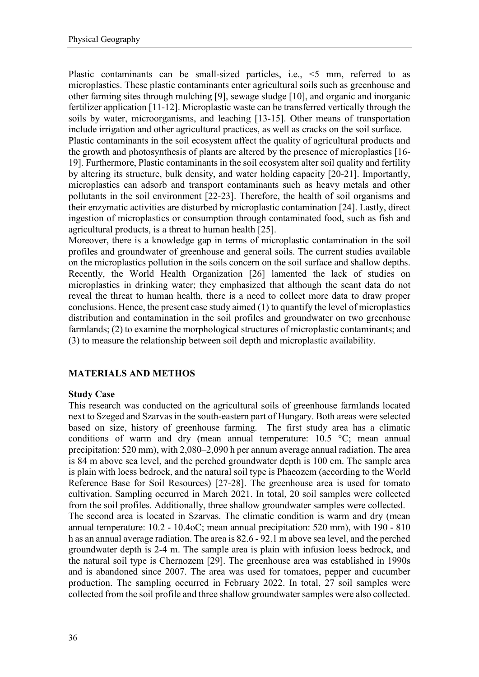Plastic contaminants can be small-sized particles, i.e., <5 mm, referred to as microplastics. These plastic contaminants enter agricultural soils such as greenhouse and other farming sites through mulching [9], sewage sludge [10], and organic and inorganic fertilizer application [11-12]. Microplastic waste can be transferred vertically through the soils by water, microorganisms, and leaching [13-15]. Other means of transportation include irrigation and other agricultural practices, as well as cracks on the soil surface. Plastic contaminants in the soil ecosystem affect the quality of agricultural products and the growth and photosynthesis of plants are altered by the presence of microplastics [16- 19]. Furthermore, Plastic contaminants in the soil ecosystem alter soil quality and fertility by altering its structure, bulk density, and water holding capacity [20-21]. Importantly, microplastics can adsorb and transport contaminants such as heavy metals and other pollutants in the soil environment [22-23]. Therefore, the health of soil organisms and their enzymatic activities are disturbed by microplastic contamination [24]. Lastly, direct ingestion of microplastics or consumption through contaminated food, such as fish and agricultural products, is a threat to human health [25].

Moreover, there is a knowledge gap in terms of microplastic contamination in the soil profiles and groundwater of greenhouse and general soils. The current studies available on the microplastics pollution in the soils concern on the soil surface and shallow depths. Recently, the World Health Organization [26] lamented the lack of studies on microplastics in drinking water; they emphasized that although the scant data do not reveal the threat to human health, there is a need to collect more data to draw proper conclusions. Hence, the present case study aimed (1) to quantify the level of microplastics distribution and contamination in the soil profiles and groundwater on two greenhouse farmlands; (2) to examine the morphological structures of microplastic contaminants; and (3) to measure the relationship between soil depth and microplastic availability.

## **MATERIALS AND METHOS**

### **Study Case**

This research was conducted on the agricultural soils of greenhouse farmlands located next to Szeged and Szarvas in the south-eastern part of Hungary. Both areas were selected based on size, history of greenhouse farming. The first study area has a climatic conditions of warm and dry (mean annual temperature: 10.5 °C; mean annual precipitation: 520 mm), with 2,080–2,090 h per annum average annual radiation. The area is 84 m above sea level, and the perched groundwater depth is 100 cm. The sample area is plain with loess bedrock, and the natural soil type is Phaeozem (according to the World Reference Base for Soil Resources) [27-28]. The greenhouse area is used for tomato cultivation. Sampling occurred in March 2021. In total, 20 soil samples were collected from the soil profiles. Additionally, three shallow groundwater samples were collected. The second area is located in Szarvas. The climatic condition is warm and dry (mean annual temperature: 10.2 - 10.4oC; mean annual precipitation: 520 mm), with 190 - 810 h as an annual average radiation. The area is 82.6 - 92.1 m above sea level, and the perched groundwater depth is 2-4 m. The sample area is plain with infusion loess bedrock, and the natural soil type is Chernozem [29]. The greenhouse area was established in 1990s and is abandoned since 2007. The area was used for tomatoes, pepper and cucumber production. The sampling occurred in February 2022. In total, 27 soil samples were collected from the soil profile and three shallow groundwater samples were also collected.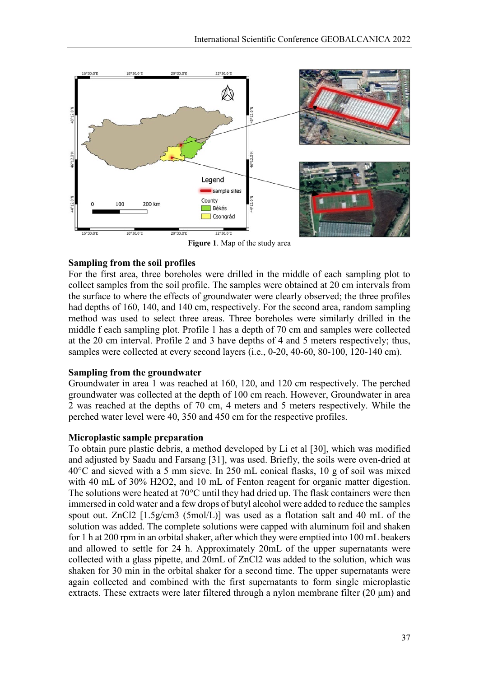

**Figure 1**. Map of the study area

### **Sampling from the soil profiles**

For the first area, three boreholes were drilled in the middle of each sampling plot to collect samples from the soil profile. The samples were obtained at 20 cm intervals from the surface to where the effects of groundwater were clearly observed; the three profiles had depths of 160, 140, and 140 cm, respectively. For the second area, random sampling method was used to select three areas. Three boreholes were similarly drilled in the middle f each sampling plot. Profile 1 has a depth of 70 cm and samples were collected at the 20 cm interval. Profile 2 and 3 have depths of 4 and 5 meters respectively; thus, samples were collected at every second layers (i.e., 0-20, 40-60, 80-100, 120-140 cm).

### **Sampling from the groundwater**

Groundwater in area 1 was reached at 160, 120, and 120 cm respectively. The perched groundwater was collected at the depth of 100 cm reach. However, Groundwater in area 2 was reached at the depths of 70 cm, 4 meters and 5 meters respectively. While the perched water level were 40, 350 and 450 cm for the respective profiles.

### **Microplastic sample preparation**

To obtain pure plastic debris, a method developed by Li et al [30], which was modified and adjusted by Saadu and Farsang [31], was used. Briefly, the soils were oven-dried at 40°C and sieved with a 5 mm sieve. In 250 mL conical flasks, 10 g of soil was mixed with 40 mL of 30% H2O2, and 10 mL of Fenton reagent for organic matter digestion. The solutions were heated at 70°C until they had dried up. The flask containers were then immersed in cold water and a few drops of butyl alcohol were added to reduce the samples spout out. ZnCl2 [1.5g/cm3 (5mol/L)] was used as a flotation salt and 40 mL of the solution was added. The complete solutions were capped with aluminum foil and shaken for 1 h at 200 rpm in an orbital shaker, after which they were emptied into 100 mL beakers and allowed to settle for 24 h. Approximately 20mL of the upper supernatants were collected with a glass pipette, and 20mL of ZnCl2 was added to the solution, which was shaken for 30 min in the orbital shaker for a second time. The upper supernatants were again collected and combined with the first supernatants to form single microplastic extracts. These extracts were later filtered through a nylon membrane filter (20 μm) and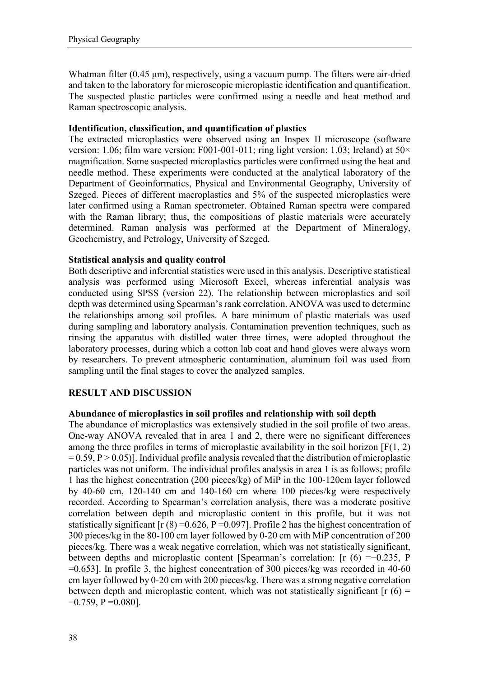Whatman filter (0.45 μm), respectively, using a vacuum pump. The filters were air-dried and taken to the laboratory for microscopic microplastic identification and quantification. The suspected plastic particles were confirmed using a needle and heat method and Raman spectroscopic analysis.

### **Identification, classification, and quantification of plastics**

The extracted microplastics were observed using an Inspex II microscope (software version: 1.06; film ware version: F001-001-011; ring light version: 1.03; Ireland) at 50 $\times$ magnification. Some suspected microplastics particles were confirmed using the heat and needle method. These experiments were conducted at the analytical laboratory of the Department of Geoinformatics, Physical and Environmental Geography, University of Szeged. Pieces of different macroplastics and 5% of the suspected microplastics were later confirmed using a Raman spectrometer. Obtained Raman spectra were compared with the Raman library; thus, the compositions of plastic materials were accurately determined. Raman analysis was performed at the Department of Mineralogy, Geochemistry, and Petrology, University of Szeged.

### **Statistical analysis and quality control**

Both descriptive and inferential statistics were used in this analysis. Descriptive statistical analysis was performed using Microsoft Excel, whereas inferential analysis was conducted using SPSS (version 22). The relationship between microplastics and soil depth was determined using Spearman's rank correlation. ANOVA was used to determine the relationships among soil profiles. A bare minimum of plastic materials was used during sampling and laboratory analysis. Contamination prevention techniques, such as rinsing the apparatus with distilled water three times, were adopted throughout the laboratory processes, during which a cotton lab coat and hand gloves were always worn by researchers. To prevent atmospheric contamination, aluminum foil was used from sampling until the final stages to cover the analyzed samples.

## **RESULT AND DISCUSSION**

### **Abundance of microplastics in soil profiles and relationship with soil depth**

The abundance of microplastics was extensively studied in the soil profile of two areas. One-way ANOVA revealed that in area 1 and 2, there were no significant differences among the three profiles in terms of microplastic availability in the soil horizon  $[F(1, 2)]$  $= 0.59, P > 0.05$ ]. Individual profile analysis revealed that the distribution of microplastic particles was not uniform. The individual profiles analysis in area 1 is as follows; profile 1 has the highest concentration (200 pieces/kg) of MiP in the 100-120cm layer followed by 40-60 cm, 120-140 cm and 140-160 cm where 100 pieces/kg were respectively recorded. According to Spearman's correlation analysis, there was a moderate positive correlation between depth and microplastic content in this profile, but it was not statistically significant  $[r (8) = 0.626, P = 0.097]$ . Profile 2 has the highest concentration of 300 pieces/kg in the 80-100 cm layer followed by 0-20 cm with MiP concentration of 200 pieces/kg. There was a weak negative correlation, which was not statistically significant, between depths and microplastic content [Spearman's correlation: [r (6) =−0.235, P  $=0.653$ ]. In profile 3, the highest concentration of 300 pieces/kg was recorded in 40-60 cm layer followed by 0-20 cm with 200 pieces/kg. There was a strong negative correlation between depth and microplastic content, which was not statistically significant  $[r(6) =$  $-0.759$ , P = 0.080].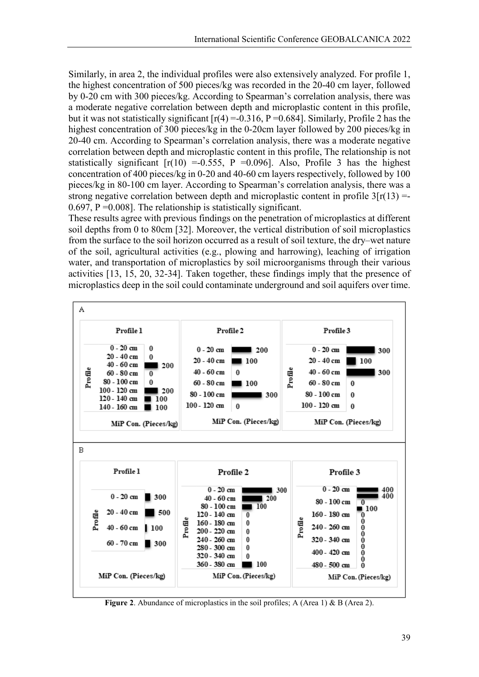Similarly, in area 2, the individual profiles were also extensively analyzed. For profile 1, the highest concentration of 500 pieces/kg was recorded in the 20-40 cm layer, followed by 0-20 cm with 300 pieces/kg. According to Spearman's correlation analysis, there was a moderate negative correlation between depth and microplastic content in this profile, but it was not statistically significant  $[r(4) = 0.316, P = 0.684]$ . Similarly, Profile 2 has the highest concentration of 300 pieces/kg in the 0-20cm layer followed by 200 pieces/kg in 20-40 cm. According to Spearman's correlation analysis, there was a moderate negative correlation between depth and microplastic content in this profile, The relationship is not statistically significant  $[r(10) = 0.555, P = 0.096]$ . Also, Profile 3 has the highest concentration of 400 pieces/kg in 0-20 and 40-60 cm layers respectively, followed by 100 pieces/kg in 80-100 cm layer. According to Spearman's correlation analysis, there was a strong negative correlation between depth and microplastic content in profile  $3[r(13) =$ 0.697,  $P = 0.008$ . The relationship is statistically significant.

These results agree with previous findings on the penetration of microplastics at different soil depths from 0 to 80cm [32]. Moreover, the vertical distribution of soil microplastics from the surface to the soil horizon occurred as a result of soil texture, the dry–wet nature of the soil, agricultural activities (e.g., plowing and harrowing), leaching of irrigation water, and transportation of microplastics by soil microorganisms through their various activities [13, 15, 20, 32-34]. Taken together, these findings imply that the presence of microplastics deep in the soil could contaminate underground and soil aquifers over time.



Figure 2. Abundance of microplastics in the soil profiles; A (Area 1) & B (Area 2).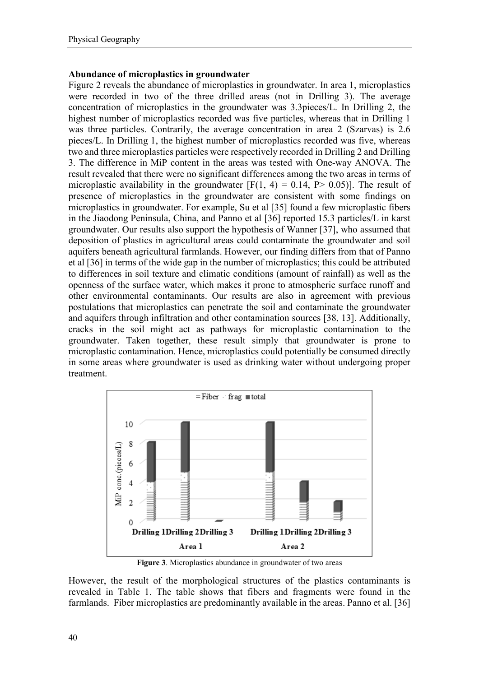### **Abundance of microplastics in groundwater**

Figure 2 reveals the abundance of microplastics in groundwater. In area 1, microplastics were recorded in two of the three drilled areas (not in Drilling 3). The average concentration of microplastics in the groundwater was 3.3pieces/L. In Drilling 2, the highest number of microplastics recorded was five particles, whereas that in Drilling 1 was three particles. Contrarily, the average concentration in area 2 (Szarvas) is 2.6 pieces/L. In Drilling 1, the highest number of microplastics recorded was five, whereas two and three microplastics particles were respectively recorded in Drilling 2 and Drilling 3. The difference in MiP content in the areas was tested with One-way ANOVA. The result revealed that there were no significant differences among the two areas in terms of microplastic availability in the groundwater  $[F(1, 4) = 0.14, P > 0.05]$ . The result of presence of microplastics in the groundwater are consistent with some findings on microplastics in groundwater. For example, Su et al [35] found a few microplastic fibers in the Jiaodong Peninsula, China, and Panno et al [36] reported 15.3 particles/L in karst groundwater. Our results also support the hypothesis of Wanner [37], who assumed that deposition of plastics in agricultural areas could contaminate the groundwater and soil aquifers beneath agricultural farmlands. However, our finding differs from that of Panno et al [36] in terms of the wide gap in the number of microplastics; this could be attributed to differences in soil texture and climatic conditions (amount of rainfall) as well as the openness of the surface water, which makes it prone to atmospheric surface runoff and other environmental contaminants. Our results are also in agreement with previous postulations that microplastics can penetrate the soil and contaminate the groundwater and aquifers through infiltration and other contamination sources [38, 13]. Additionally, cracks in the soil might act as pathways for microplastic contamination to the groundwater. Taken together, these result simply that groundwater is prone to microplastic contamination. Hence, microplastics could potentially be consumed directly in some areas where groundwater is used as drinking water without undergoing proper treatment.



**Figure 3**. Microplastics abundance in groundwater of two areas

However, the result of the morphological structures of the plastics contaminants is revealed in Table 1. The table shows that fibers and fragments were found in the farmlands. Fiber microplastics are predominantly available in the areas. Panno et al. [36]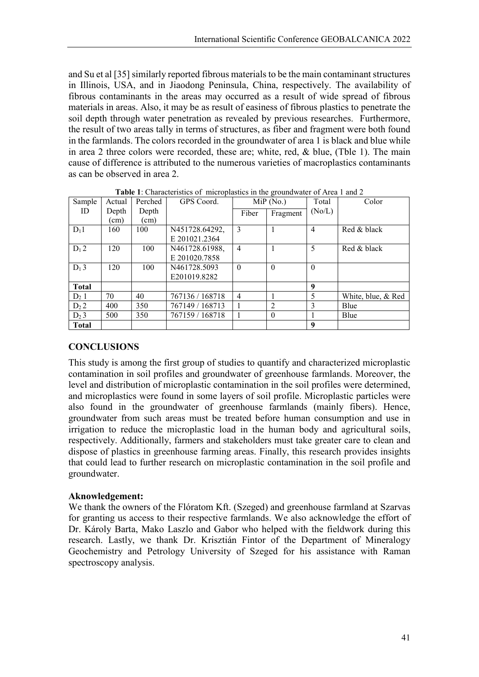and Su et al [35] similarly reported fibrous materials to be the main contaminant structures in Illinois, USA, and in Jiaodong Peninsula, China, respectively. The availability of fibrous contaminants in the areas may occurred as a result of wide spread of fibrous materials in areas. Also, it may be as result of easiness of fibrous plastics to penetrate the soil depth through water penetration as revealed by previous researches. Furthermore, the result of two areas tally in terms of structures, as fiber and fragment were both found in the farmlands. The colors recorded in the groundwater of area 1 is black and blue while in area 2 three colors were recorded, these are; white, red, & blue, (Tble 1). The main cause of difference is attributed to the numerous varieties of macroplastics contaminants as can be observed in area 2.

| Sample       | Actual        | Perched | GPS Coord.      | <b>Table 1.</b> Characteristics of inicroplastics in the groundwater of Area 1 and 2<br>MiP(No.) |          | Total          | Color              |
|--------------|---------------|---------|-----------------|--------------------------------------------------------------------------------------------------|----------|----------------|--------------------|
| ID           | Depth         | Depth   |                 |                                                                                                  |          | (No/L)         |                    |
|              | $\text{cm}$ ) | (cm)    |                 | Fiber                                                                                            | Fragment |                |                    |
|              |               |         |                 |                                                                                                  |          |                |                    |
| $D_11$       | 160           | 100     | N451728.64292,  | 3                                                                                                |          | $\overline{4}$ | Red & black        |
|              |               |         | E 201021.2364   |                                                                                                  |          |                |                    |
| $D_1 2$      | 120           | 100     | N461728.61988,  | $\overline{4}$                                                                                   |          | 5              | Red & black        |
|              |               |         | E 201020.7858   |                                                                                                  |          |                |                    |
| $D_1$ 3      | 120           | 100     | N461728.5093    | $\theta$                                                                                         | $\Omega$ | $\theta$       |                    |
|              |               |         | E201019.8282    |                                                                                                  |          |                |                    |
| <b>Total</b> |               |         |                 |                                                                                                  |          | 9              |                    |
| $D_2$ 1      | 70            | 40      | 767136 / 168718 | 4                                                                                                |          | 5              | White, blue, & Red |
| $D_2 2$      | 400           | 350     | 767149 / 168713 |                                                                                                  | 2        | 3              | Blue               |
| $D_2$ 3      | 500           | 350     | 767159 / 168718 |                                                                                                  | $\theta$ |                | Blue               |
| <b>Total</b> |               |         |                 |                                                                                                  |          | 9              |                    |

**Table 1**: Characteristics of microplastics in the groundwater of Area 1 and 2

## **CONCLUSIONS**

This study is among the first group of studies to quantify and characterized microplastic contamination in soil profiles and groundwater of greenhouse farmlands. Moreover, the level and distribution of microplastic contamination in the soil profiles were determined, and microplastics were found in some layers of soil profile. Microplastic particles were also found in the groundwater of greenhouse farmlands (mainly fibers). Hence, groundwater from such areas must be treated before human consumption and use in irrigation to reduce the microplastic load in the human body and agricultural soils, respectively. Additionally, farmers and stakeholders must take greater care to clean and dispose of plastics in greenhouse farming areas. Finally, this research provides insights that could lead to further research on microplastic contamination in the soil profile and groundwater.

## **Aknowledgement:**

We thank the owners of the Flóratom Kft. (Szeged) and greenhouse farmland at Szarvas for granting us access to their respective farmlands. We also acknowledge the effort of Dr. Károly Barta, Mako Laszlo and Gabor who helped with the fieldwork during this research. Lastly, we thank Dr. Krisztián Fintor of the Department of Mineralogy Geochemistry and Petrology University of Szeged for his assistance with Raman spectroscopy analysis.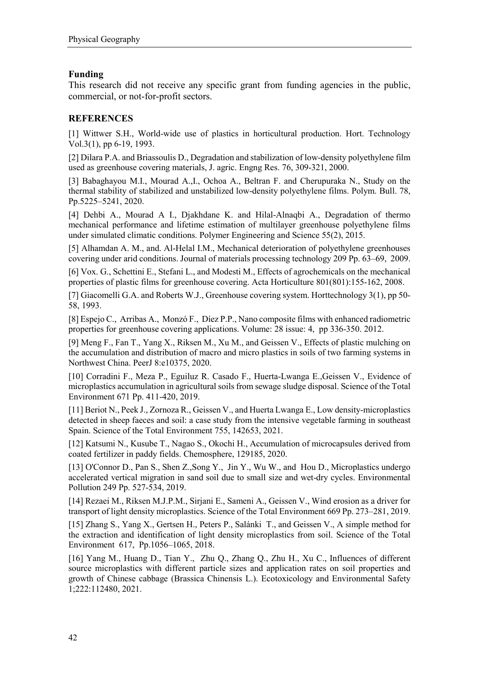## **Funding**

This research did not receive any specific grant from funding agencies in the public, commercial, or not-for-profit sectors.

## **REFERENCES**

[1] Wittwer S.H., World-wide use of plastics in horticultural production. Hort. Technology Vol.3(1), pp 6-19, 1993.

[2] Dilara P.A. and Briassoulis D., Degradation and stabilization of low-density polyethylene film used as greenhouse covering materials, J. agric. Engng Res. 76, 309-321, 2000.

[3] Babaghayou M.I., Mourad A., I., Ochoa A., Beltran F. and Cherupuraka N., Study on the thermal stability of stabilized and unstabilized low-density polyethylene films. Polym. Bull. 78, Pp.5225–5241, 2020.

[4] Dehbi A., Mourad A I., Djakhdane K. and Hilal-Alnaqbi A., Degradation of thermo mechanical performance and lifetime estimation of multilayer greenhouse polyethylene films under simulated climatic conditions. Polymer Engineering and Science 55(2), 2015.

[5] Alhamdan A. M., and. Al-Helal I.M., Mechanical deterioration of polyethylene greenhouses covering under arid conditions. Journal of materials processing technology 209 Pp. 63–69, 2009.

[6] Vox. G., Schettini E., Stefani L., and Modesti M., Effects of agrochemicals on the mechanical properties of plastic films for greenhouse covering. Acta Horticulture 801(801):155-162, 2008.

[7] Giacomelli G.A. and Roberts W.J., Greenhouse covering system. Horttechnology 3(1), pp 50- 58, 1993.

[8] Espejo C., Arribas A., Monzó F., Díez P.P., Nano composite films with enhanced radiometric properties for greenhouse covering applications. Volume: 28 issue: 4, pp 336-350. 2012.

[9] Meng F., Fan T., Yang X., Riksen M., Xu M., and Geissen V., Effects of plastic mulching on the accumulation and distribution of macro and micro plastics in soils of two farming systems in Northwest China. PeerJ 8:e10375, 2020.

[10] Corradini F., Meza P., Eguiluz R. Casado F., Huerta-Lwanga E.,Geissen V., Evidence of microplastics accumulation in agricultural soils from sewage sludge disposal. Science of the Total Environment 671 Pp. 411-420, 2019.

[11] Beriot N., Peek J., Zornoza R., Geissen V., and Huerta Lwanga E., Low density-microplastics detected in sheep faeces and soil: a case study from the intensive vegetable farming in southeast Spain. Science of the Total Environment 755, 142653, 2021.

[12] Katsumi N., Kusube T., Nagao S., Okochi H., Accumulation of microcapsules derived from coated fertilizer in paddy fields. Chemosphere, 129185, 2020.

[13] O'Connor D., Pan S., Shen Z., Song Y., Jin Y., Wu W., and Hou D., Microplastics undergo accelerated vertical migration in sand soil due to small size and wet-dry cycles. Environmental Pollution 249 Pp. 527-534, 2019.

[14] Rezaei M., Riksen M.J.P.M., Sirjani E., Sameni A., Geissen V., Wind erosion as a driver for transport of light density microplastics. Science of the Total Environment 669 Pp. 273–281, 2019.

[15] Zhang S., Yang X., Gertsen H., Peters P., Salánki T., and Geissen V., A simple method for the extraction and identification of light density microplastics from soil. Science of the Total Environment 617, Pp.1056–1065, 2018.

[16] Yang M., Huang D., Tian Y., Zhu Q., Zhang Q., Zhu H., Xu C., Influences of different source microplastics with different particle sizes and application rates on soil properties and growth of Chinese cabbage (Brassica Chinensis L.). Ecotoxicology and Environmental Safety 1;222:112480, 2021.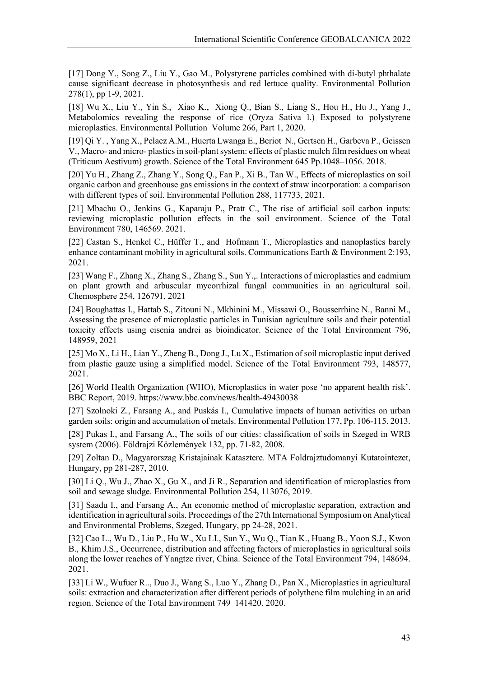[17] Dong Y., Song Z., Liu Y., Gao M., Polystyrene particles combined with di-butyl phthalate cause significant decrease in photosynthesis and red lettuce quality. Environmental Pollution 278(1), pp 1-9, 2021.

[18] Wu X., Liu Y., Yin S., Xiao K., Xiong Q., Bian S., Liang S., Hou H., Hu J., Yang J., Metabolomics revealing the response of rice (Oryza Sativa l.) Exposed to polystyrene microplastics. Environmental Pollution Volume 266, Part 1, 2020.

[19] Qi Y. , Yang X., Pelaez A.M., Huerta Lwanga E., Beriot N., Gertsen H., Garbeva P., Geissen V., Macro- and micro- plastics in soil-plant system: effects of plastic mulch film residues on wheat (Triticum Aestivum) growth. Science of the Total Environment 645 Pp.1048–1056. 2018.

[20] Yu H., Zhang Z., Zhang Y., Song Q., Fan P., Xi B., Tan W., Effects of microplastics on soil organic carbon and greenhouse gas emissions in the context of straw incorporation: a comparison with different types of soil. Environmental Pollution 288, 117733, 2021.

[21] Mbachu O., Jenkins G., Kaparaju P., Pratt C., The rise of artificial soil carbon inputs: reviewing microplastic pollution effects in the soil environment. Science of the Total Environment 780, 146569. 2021.

[22] Castan S., Henkel C., Hüffer T., and Hofmann T., Microplastics and nanoplastics barely enhance contaminant mobility in agricultural soils. Communications Earth & Environment 2:193, 2021.

[23] Wang F., Zhang X., Zhang S., Zhang S., Sun Y.,. Interactions of microplastics and cadmium on plant growth and arbuscular mycorrhizal fungal communities in an agricultural soil. Chemosphere 254, 126791, 2021

[24] Boughattas I., Hattab S., Zitouni N., Mkhinini M., Missawi O., Bousserrhine N., Banni M., Assessing the presence of microplastic particles in Tunisian agriculture soils and their potential toxicity effects using eisenia andrei as bioindicator. Science of the Total Environment 796, 148959, 2021

[25] Mo X., Li H., Lian Y., Zheng B., Dong J., Lu X., Estimation of soil microplastic input derived from plastic gauze using a simplified model. Science of the Total Environment 793, 148577, 2021.

[26] World Health Organization (WHO), Microplastics in water pose 'no apparent health risk'. BBC Report, 2019. https://www.bbc.com/news/health-49430038

[27] Szolnoki Z., Farsang A., and Puskás I., Cumulative impacts of human activities on urban garden soils: origin and accumulation of metals. Environmental Pollution 177, Pp. 106-115. 2013.

[28] Pukas I., and Farsang A., The soils of our cities: classification of soils in Szeged in WRB system (2006). Földrajzi Közlemények 132, pp. 71-82, 2008.

[29] Zoltan D., Magyarorszag Kristajainak Katasztere. MTA Foldrajztudomanyi Kutatointezet, Hungary, pp 281-287, 2010.

[30] Li Q., Wu J., Zhao X., Gu X., and Ji R., Separation and identification of microplastics from soil and sewage sludge. Environmental Pollution 254, 113076, 2019.

[31] Saadu I., and Farsang A., An economic method of microplastic separation, extraction and identification in agricultural soils. Proceedings of the 27th International Symposium on Analytical and Environmental Problems, Szeged, Hungary, pp 24-28, 2021.

[32] Cao L., Wu D., Liu P., Hu W., Xu LI., Sun Y., Wu Q., Tian K., Huang B., Yoon S.J., Kwon B., Khim J.S., Occurrence, distribution and affecting factors of microplastics in agricultural soils along the lower reaches of Yangtze river, China. Science of the Total Environment 794, 148694. 2021.

[33] Li W., Wufuer R.., Duo J., Wang S., Luo Y., Zhang D., Pan X., Microplastics in agricultural soils: extraction and characterization after different periods of polythene film mulching in an arid region. Science of the Total Environment 749 141420. 2020.